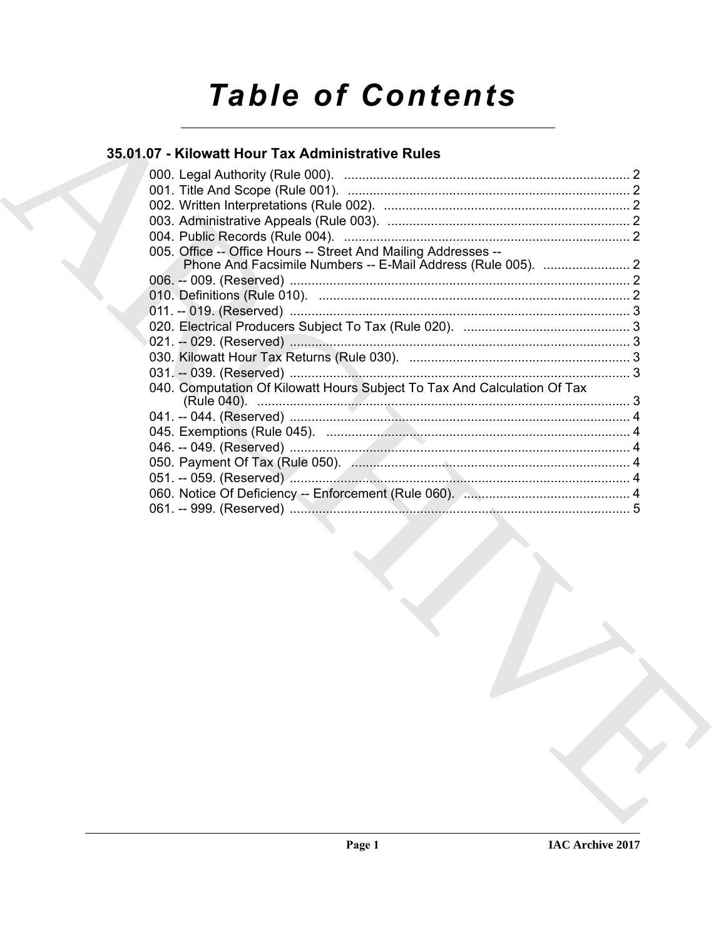# **Table of Contents**

# 35.01.07 - Kilowatt Hour Tax Administrative Rules

| 005. Office -- Office Hours -- Street And Mailing Addresses --           |  |
|--------------------------------------------------------------------------|--|
|                                                                          |  |
|                                                                          |  |
|                                                                          |  |
|                                                                          |  |
|                                                                          |  |
|                                                                          |  |
|                                                                          |  |
|                                                                          |  |
| 040. Computation Of Kilowatt Hours Subject To Tax And Calculation Of Tax |  |
|                                                                          |  |
|                                                                          |  |
|                                                                          |  |
|                                                                          |  |
|                                                                          |  |
|                                                                          |  |
|                                                                          |  |
|                                                                          |  |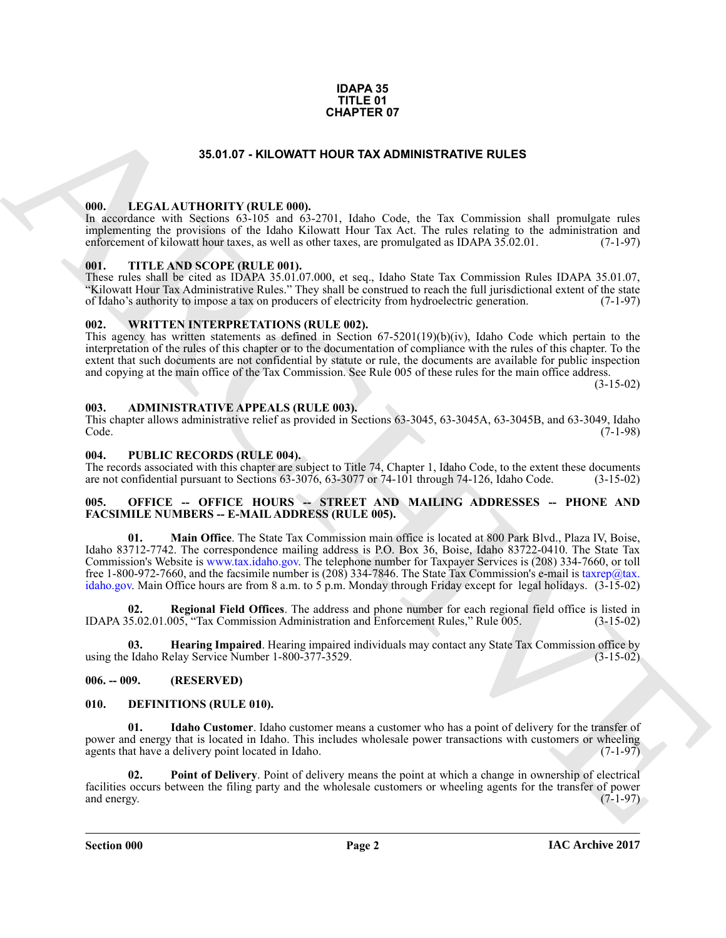#### **IDAPA 35 TITLE 01 CHAPTER 07**

#### **35.01.07 - KILOWATT HOUR TAX ADMINISTRATIVE RULES**

#### <span id="page-1-1"></span><span id="page-1-0"></span>**000. LEGAL AUTHORITY (RULE 000).**

In accordance with Sections 63-105 and 63-2701, Idaho Code, the Tax Commission shall promulgate rules implementing the provisions of the Idaho Kilowatt Hour Tax Act. The rules relating to the administration and enforcement of kilowatt hour taxes, as well as other taxes, are promulgated as IDAPA 35.02.01. (7-1-97) enforcement of kilowatt hour taxes, as well as other taxes, are promulgated as IDAPA 35.02.01.

#### <span id="page-1-2"></span>**001. TITLE AND SCOPE (RULE 001).**

These rules shall be cited as IDAPA 35.01.07.000, et seq., Idaho State Tax Commission Rules IDAPA 35.01.07, "Kilowatt Hour Tax Administrative Rules." They shall be construed to reach the full jurisdictional extent of the state of Idaho's authority to impose a tax on producers of electricity from hydroelectric generation. (7-1-97)

#### <span id="page-1-3"></span>**002. WRITTEN INTERPRETATIONS (RULE 002).**

This agency has written statements as defined in Section  $67-5201(19)(b)(iv)$ , Idaho Code which pertain to the interpretation of the rules of this chapter or to the documentation of compliance with the rules of this chapter. To the extent that such documents are not confidential by statute or rule, the documents are available for public inspection and copying at the main office of the Tax Commission. See Rule 005 of these rules for the main office address.

(3-15-02)

#### <span id="page-1-4"></span>**003. ADMINISTRATIVE APPEALS (RULE 003).**

This chapter allows administrative relief as provided in Sections 63-3045, 63-3045A, 63-3045B, and 63-3049, Idaho<br>Code. (7-1-98) Code. (7-1-98)

#### <span id="page-1-5"></span>**004. PUBLIC RECORDS (RULE 004).**

The records associated with this chapter are subject to Title 74, Chapter 1, Idaho Code, to the extent these documents are not confidential pursuant to Sections 63-3076, 63-3077 or 74-101 through 74-126, Idaho Code. (3-15are not confidential pursuant to Sections  $63-3076$ ,  $63-3077$  or  $74-101$  through  $74-126$ , Idaho Code.

#### <span id="page-1-6"></span>005. OFFICE -- OFFICE HOURS -- STREET AND MAILING ADDRESSES -- PHONE AND **FACSIMILE NUMBERS -- E-MAIL ADDRESS (RULE 005).**

**35.01.07 - KLOWATT [H](http://www.tax.idaho.gov)OULD TAX. ADMINISTRATI[V](mailto:taxrep@tax. idaho.gov)E RULES<br>
1980.** LEGAL AUTIDONATY (RULE MOI) 2701). Jobb. Code, the Tax Commission dall promulgate rules<br>
1980. LEGAL AUTIDONATY (RULE MOI) 2701). Jobb. Code, the Tax Commission **01. Main Office**. The State Tax Commission main office is located at 800 Park Blvd., Plaza IV, Boise, Idaho 83712-7742. The correspondence mailing address is P.O. Box 36, Boise, Idaho 83722-0410. The State Tax Commission's Website is www.tax.idaho.gov. The telephone number for Taxpayer Services is (208) 334-7660, or toll free 1-800-972-7660, and the facsimile number is (208) 334-7846. The State Tax Commission's e-mail is taxrep@tax. idaho.gov. Main Office hours are from 8 a.m. to 5 p.m. Monday through Friday except for legal holidays. (3-15-02)

**02. Regional Field Offices**. The address and phone number for each regional field office is listed in IDAPA 35.02.01.005, "Tax Commission Administration and Enforcement Rules," Rule 005. (3-15-02)

**Hearing Impaired**. Hearing impaired individuals may contact any State Tax Commission office by elay Service Number 1-800-377-3529. using the Idaho Relay Service Number 1-800-377-3529.

#### <span id="page-1-7"></span>**006. -- 009. (RESERVED)**

#### <span id="page-1-9"></span><span id="page-1-8"></span>**010. DEFINITIONS (RULE 010).**

<span id="page-1-10"></span>**01. Idaho Customer**. Idaho customer means a customer who has a point of delivery for the transfer of power and energy that is located in Idaho. This includes wholesale power transactions with customers or wheeling agents that have a delivery point located in Idaho. (7-1-97) agents that have a delivery point located in Idaho.

<span id="page-1-11"></span>**02. Point of Delivery**. Point of delivery means the point at which a change in ownership of electrical facilities occurs between the filing party and the wholesale customers or wheeling agents for the transfer of power and energy. (7-1-97) and energy. (7-1-97)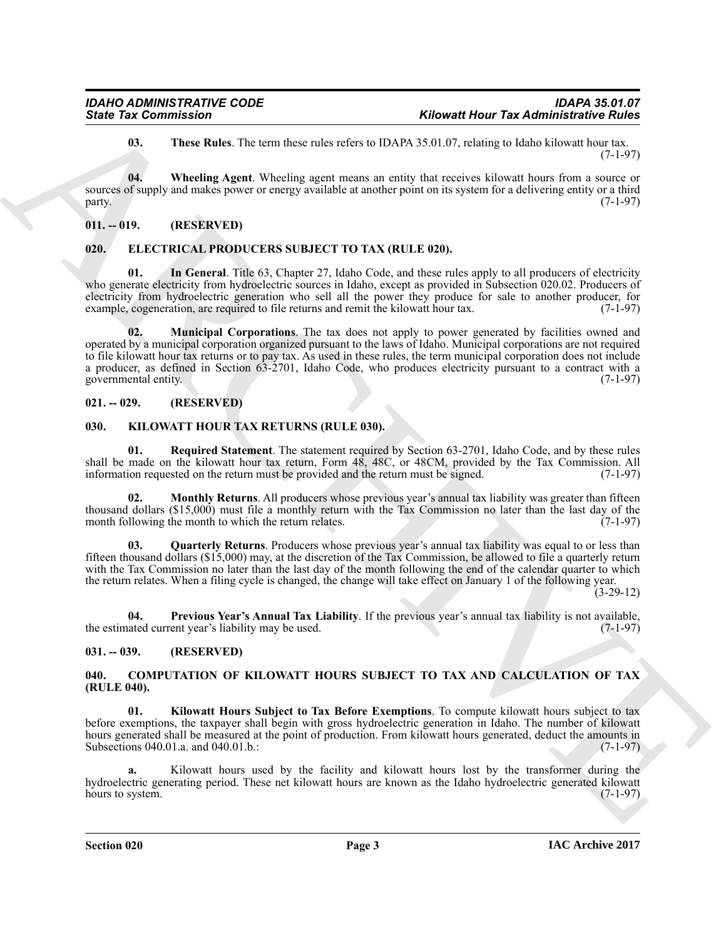<span id="page-2-9"></span><span id="page-2-8"></span>**03. These Rules**. The term these rules refers to IDAPA 35.01.07, relating to Idaho kilowatt hour tax. (7-1-97)

**04. Wheeling Agent**. Wheeling agent means an entity that receives kilowatt hours from a source or sources of supply and makes power or energy available at another point on its system for a delivering entity or a third party. (7-1-97)

### <span id="page-2-0"></span>**011. -- 019. (RESERVED)**

#### <span id="page-2-10"></span><span id="page-2-1"></span>**020. ELECTRICAL PRODUCERS SUBJECT TO TAX (RULE 020).**

<span id="page-2-12"></span><span id="page-2-11"></span>**01.** In General. Title 63, Chapter 27, Idaho Code, and these rules apply to all producers of electricity who generate electricity from hydroelectric sources in Idaho, except as provided in Subsection 020.02. Producers of electricity from hydroelectric generation who sell all the power they produce for sale to another producer, for example, cogeneration, are required to file returns and remit the kilowatt hour tax. (7-1-97)

Since Tax Commission<br>
U. The relation the term describes rates to the March 2010. The latter than the same of the relation of the same of the same of the relation of the same of the relation of the relation of the relatio **02. Municipal Corporations**. The tax does not apply to power generated by facilities owned and operated by a municipal corporation organized pursuant to the laws of Idaho. Municipal corporations are not required to file kilowatt hour tax returns or to pay tax. As used in these rules, the term municipal corporation does not include a producer, as defined in Section 63-2701, Idaho Code, who produces electricity pursuant to a contract with a governmental entity. (7-1-97)

### <span id="page-2-2"></span>**021. -- 029. (RESERVED)**

#### <span id="page-2-13"></span><span id="page-2-3"></span>**030. KILOWATT HOUR TAX RETURNS (RULE 030).**

<span id="page-2-17"></span>**01. Required Statement**. The statement required by Section 63-2701, Idaho Code, and by these rules shall be made on the kilowatt hour tax return, Form 48, 48C, or 48CM, provided by the Tax Commission. All information requested on the return must be provided and the return must be signed. (7-1-97)

<span id="page-2-14"></span>**02.** Monthly Returns. All producers whose previous year's annual tax liability was greater than fifteen thousand dollars (\$15,000) must file a monthly return with the Tax Commission no later than the last day of the month following the month to which the return relates. (7-1-97) month following the month to which the return relates.

<span id="page-2-16"></span>**03. Quarterly Returns**. Producers whose previous year's annual tax liability was equal to or less than fifteen thousand dollars (\$15,000) may, at the discretion of the Tax Commission, be allowed to file a quarterly return with the Tax Commission no later than the last day of the month following the end of the calendar quarter to which the return relates. When a filing cycle is changed, the change will take effect on January 1 of the following year.

(3-29-12)

<span id="page-2-15"></span>**04. Previous Year's Annual Tax Liability**. If the previous year's annual tax liability is not available, the estimated current year's liability may be used. (7-1-97)

#### <span id="page-2-4"></span>**031. -- 039. (RESERVED)**

#### <span id="page-2-6"></span><span id="page-2-5"></span>**040. COMPUTATION OF KILOWATT HOURS SUBJECT TO TAX AND CALCULATION OF TAX (RULE 040).**

<span id="page-2-7"></span>**01. Kilowatt Hours Subject to Tax Before Exemptions**. To compute kilowatt hours subject to tax before exemptions, the taxpayer shall begin with gross hydroelectric generation in Idaho. The number of kilowatt hours generated shall be measured at the point of production. From kilowatt hours generated, deduct the amounts in Subsections 040.01.a. and 040.01.b.: (7-1-97)

**a.** Kilowatt hours used by the facility and kilowatt hours lost by the transformer during the hydroelectric generating period. These net kilowatt hours are known as the Idaho hydroelectric generated kilowatt hours to system.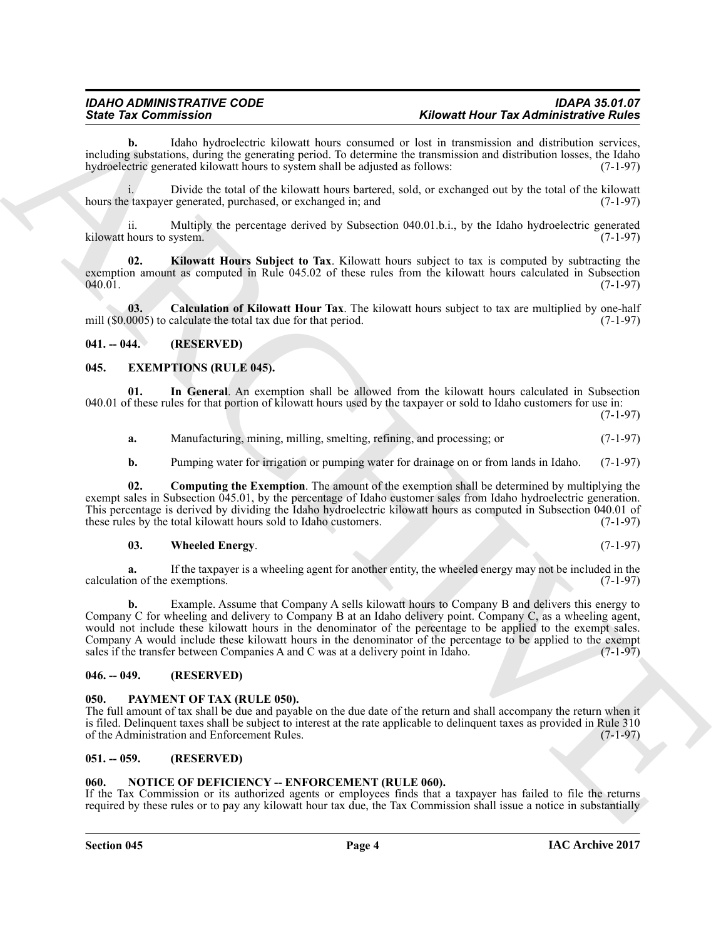**b.** Idaho hydroelectric kilowatt hours consumed or lost in transmission and distribution services, including substations, during the generating period. To determine the transmission and distribution losses, the Idaho hydroelectric generated kilowatt hours to system shall be adjusted as follows: (7-1-97)

i. Divide the total of the kilowatt hours bartered, sold, or exchanged out by the total of the kilowatt hours the taxpayer generated, purchased, or exchanged in; and  $(7-1-97)$ 

ii. Multiply the percentage derived by Subsection 040.01.b.i., by the Idaho hydroelectric generated kilowatt hours to system. (7-1-97)

<span id="page-3-7"></span>**02. Kilowatt Hours Subject to Tax**. Kilowatt hours subject to tax is computed by subtracting the exemption amount as computed in Rule 045.02 of these rules from the kilowatt hours calculated in Subsection 040.01. 040.01. (7-1-97)

<span id="page-3-6"></span>**03. Calculation of Kilowatt Hour Tax**. The kilowatt hours subject to tax are multiplied by one-half 0005) to calculate the total tax due for that period. (7-1-97) mill  $(\$0.0005)$  to calculate the total tax due for that period.

#### <span id="page-3-0"></span>**041. -- 044. (RESERVED)**

#### <span id="page-3-8"></span><span id="page-3-1"></span>**045. EXEMPTIONS (RULE 045).**

**01. In General**. An exemption shall be allowed from the kilowatt hours calculated in Subsection 040.01 of these rules for that portion of kilowatt hours used by the taxpayer or sold to Idaho customers for use in:

(7-1-97)

<span id="page-3-10"></span>**a.** Manufacturing, mining, milling, smelting, refining, and processing; or  $(7-1-97)$ 

<span id="page-3-9"></span>**b.** Pumping water for irrigation or pumping water for drainage on or from lands in Idaho. (7-1-97)

**02. Computing the Exemption**. The amount of the exemption shall be determined by multiplying the exempt sales in Subsection 045.01, by the percentage of Idaho customer sales from Idaho hydroelectric generation. This percentage is derived by dividing the Idaho hydroelectric kilowatt hours as computed in Subsection 040.01 of these rules by the total kilowatt hours sold to Idaho customers. (7-1-97) these rules by the total kilowatt hours sold to Idaho customers.

#### <span id="page-3-11"></span>**03. Wheeled Energy**. (7-1-97)

**a.** If the taxpayer is a wheeling agent for another entity, the wheeled energy may not be included in the on of the exemptions. (7-1-97) calculation of the exemptions.

Since Tax Commission in the extent alones have a possession of Montenative Hamiltonian contained the extent in the extent in the extent in the extent in the extent in the extent in the extent in the extent in the extent i **b.** Example. Assume that Company A sells kilowatt hours to Company B and delivers this energy to Company C for wheeling and delivery to Company B at an Idaho delivery point. Company C, as a wheeling agent, would not include these kilowatt hours in the denominator of the percentage to be applied to the exempt sales. Company A would include these kilowatt hours in the denominator of the percentage to be applied to the exempt sales if the transfer between Companies A and C was at a delivery point in Idaho.  $(7-1-97)$ sales if the transfer between Companies A and C was at a delivery point in Idaho.

#### <span id="page-3-2"></span>**046. -- 049. (RESERVED)**

#### <span id="page-3-13"></span><span id="page-3-3"></span>**050. PAYMENT OF TAX (RULE 050).**

The full amount of tax shall be due and payable on the due date of the return and shall accompany the return when it is filed. Delinquent taxes shall be subject to interest at the rate applicable to delinquent taxes as provided in Rule 310 of the Administration and Enforcement Rules. (7-1-97) of the Administration and Enforcement Rules.

#### <span id="page-3-4"></span>**051. -- 059. (RESERVED)**

#### <span id="page-3-12"></span><span id="page-3-5"></span>**060. NOTICE OF DEFICIENCY -- ENFORCEMENT (RULE 060).**

If the Tax Commission or its authorized agents or employees finds that a taxpayer has failed to file the returns required by these rules or to pay any kilowatt hour tax due, the Tax Commission shall issue a notice in substantially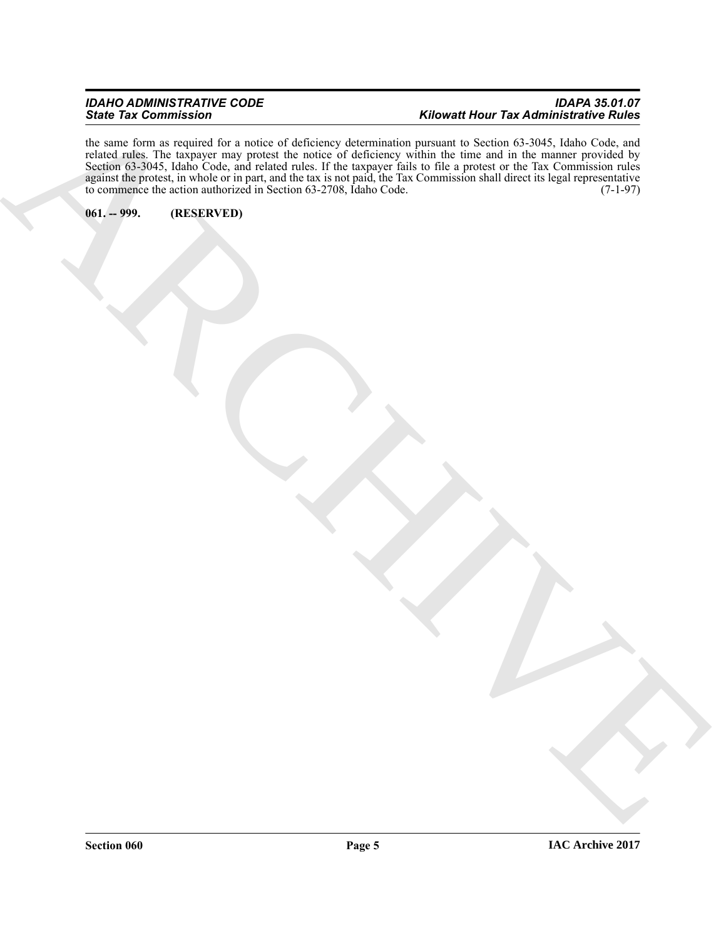#### *IDAHO ADMINISTRATIVE CODE IDAPA 35.01.07 State Tax Commission Kilowatt Hour Tax Administrative Rules*

ARCHIVE the same form as required for a notice of deficiency determination pursuant to Section 63-3045, Idaho Code, and related rules. The taxpayer may protest the notice of deficiency within the time and in the manner provided by Section 63-3045, Idaho Code, and related rules. If the taxpayer fails to file a protest or the Tax Commission rules against the protest, in whole or in part, and the tax is not paid, the Tax Commission shall direct its legal representative to commence the action authorized in Section 63-2708, Idaho Code. (7-1-97)

<span id="page-4-0"></span>**061. -- 999. (RESERVED)**